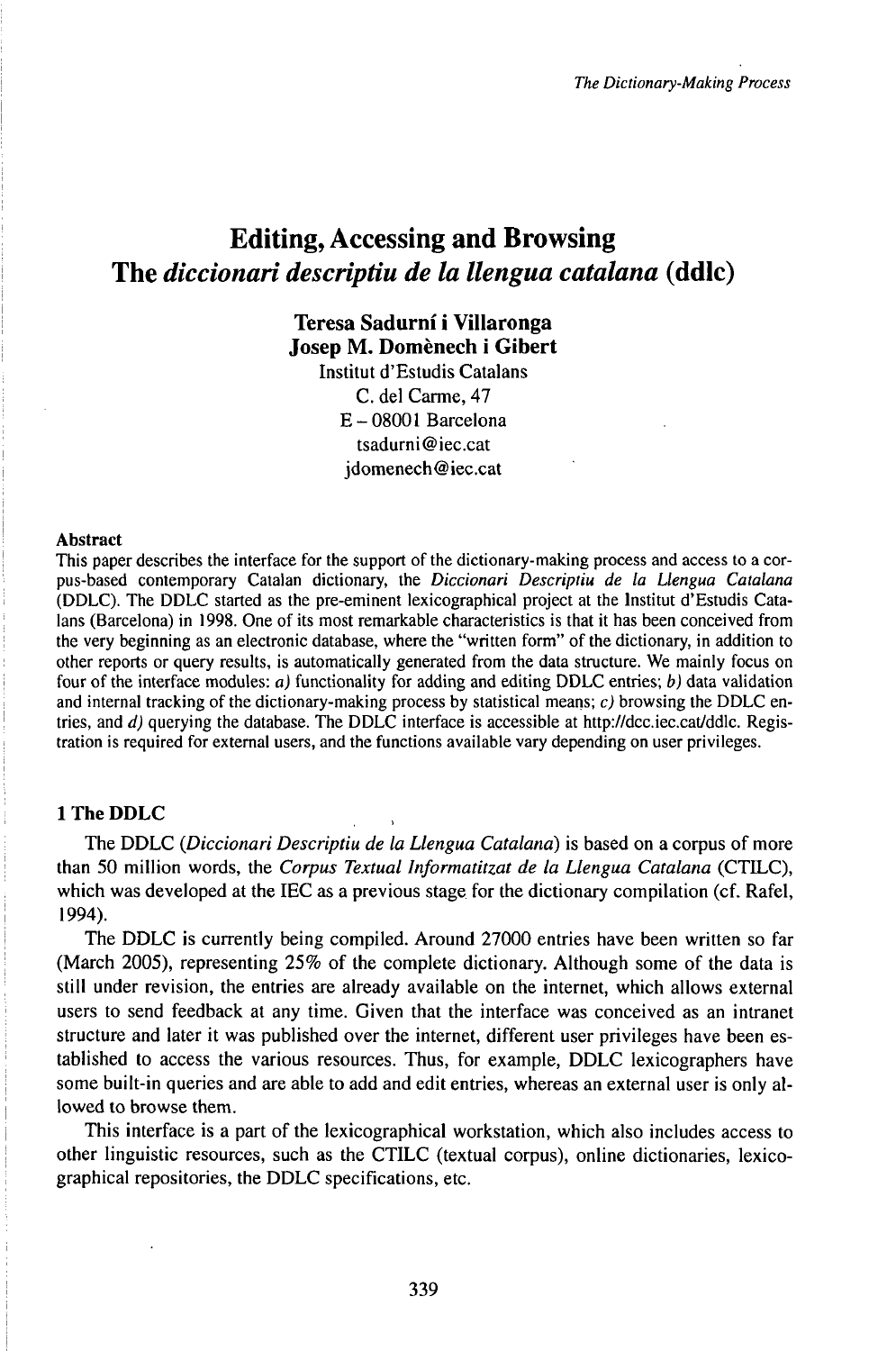# Editing, Accessing and Browsing The *diccionari descriptiu de la llengua catalana* (ddlc)

# **Teresa Sadurni i Villaronga Josep M. Domènech i Gibert**

Institut d'Estudis Catalans C. del Carme, 47 E-08001Barcelona tsadurni@iec.cat jdomenech@iec.cat

#### Abstract

This paper describes the interface for the support of the dictionary-making process and access to a corpus-based contemporary Catalan dictionary, the *Diccionari Descriptiu de la Llengua Catalana* (DDLC). The DDLC started as the pre-eminent lexicographical project at the lnstitut d'Estudis Catalans (Barcelona) in 1998. One of its most remarkable characteristics is that it has been conceived from the very beginning as an electronic database, where the "written form" of the dictionary, in addition to other reports or query results, is automatically generated from the data structure. We mainly focus on four of the interface modules: *a)* functionality for adding and editing DDLC entries; *b)* data validation and internal tracking of the dictionary-making process by statistical means;  $c$ ) browsing the DDLC entries, and *d*) querying the database. The DDLC interface is accessible at http://dcc.iec.cat/ddlc. Registration is required for external users, and the functions available vary depending on user privileges.

### **1 The DDLC**

The DDLC *(Diccionari Descriptiu de la Llengua Catalana)* is based on a corpus of more than 50 million words, the *Corpus Textual Informatitzat de la Llengua Catalana* (CTTLC), which was developed at the IEC as a previous stage for the dictionary compilation (cf. Rafel, 1994).

The DDLC is currently being compiled. Around 27000 entries have been written so far (March 2005), representing 25% of the complete dictionary. Although some of the data is still under revision, the entries are already available on the internet, which allows external users to send feedback at any time. Given that the interface was conceived as an intranet structure and later it was published over the internet, different user privileges have been established to access the various resources. Thus, for example, DDLC lexicographers have some built-in queries and are able to add and edit entries, whereas an external user is only allowed to browse them.

This interface is a part of the lexicographical workstation, which also includes access to other linguistic resources, such as the CTILC (textual corpus), online dictionaries, lexicographical repositories, the DDLC specifications, etc.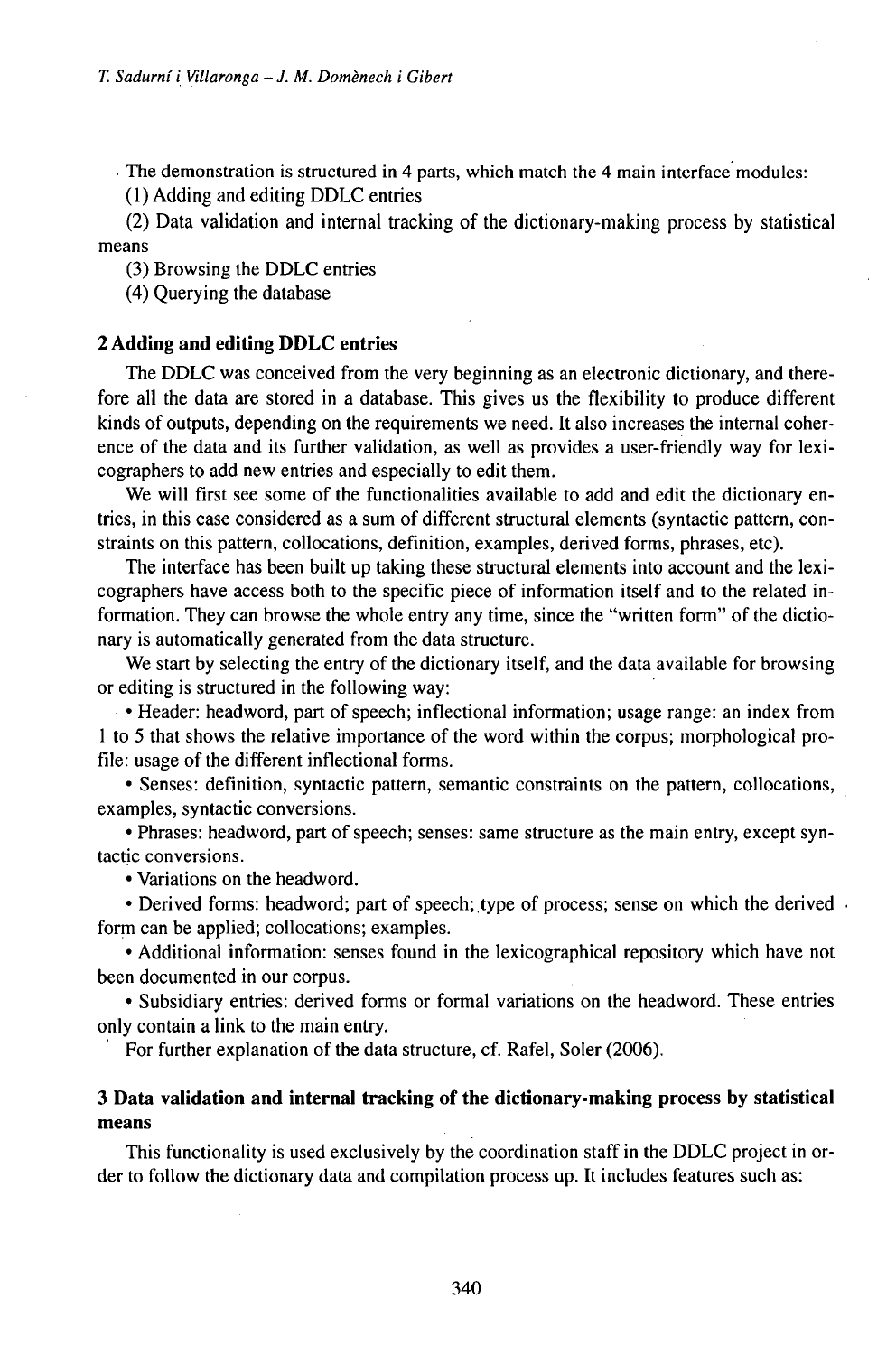• The demonstration is structured in 4 parts, which match the 4 main interface modules:

(1) Adding and editing DDLC entries

(2) Data validation and internal tracking of the dictionary-making process by statistical means

(3) Browsing the DDLC entries

(4) Querying the database

### **2 Adding and editing DDLC entries**

The DDLC was conceived from the very beginning as an electronic dictionary, and therefore all the data are stored in a database. This gives us the flexibility to produce different kinds of outputs, depending on the requirements we need. It also increases the internal coherence of the data and its further validation, as well as provides a user-friendly way for lexicographers to add new entries and especially to edit them.

We will first see some of the functionalities available to add and edit the dictionary entries, in this case considered as a sum of different structural elements (syntactic pattern, constraints on this pattern, collocations, definition, examples, derived forms, phrases, etc).

The interface has been built up taking these structural elements into account and the lexicographers have access both to the specific piece of information itself and to the related information. They can browse the whole entry any time, since the "written form" of the dictionary is automatically generated from the data structure.

We start by selecting the entry of the dictionary itself, and the data available for browsing or editing is structured in the following way:

• Header: headword, part of speech; inflectional information; usage range: an index from <sup>1</sup> to 5 that shows the relative importance of the word within the corpus; morphological profile: usage of the different inflectional forms.

• Senses: definition, syntactic pattern, semantic constraints on the pattern, collocations, examples, syntactic conversions.

• Phrases: headword, part of speech; senses: same structure as the main entry, except syntactic conversions.

• Variations on the headword.

• Derived forms: headword; part of speech; type of process; sense on which the derived form can be applied; collocations; examples.

• Additional information: senses found in the lexicographical repository which have not been documented in our corpus.

• Subsidiary entries: derived forms or formal variations on the headword. These entries only contain a link to the main entry.

For further explanation of the data structure, cf. Rafel, Soler (2006).

## **3 Data validation and internal tracking of the dictionary-making process by statistical means**

This functionality is used exclusively by the coordination staff in the DDLC project in order to follow the dictionary data and compilation process up. It includes features such as: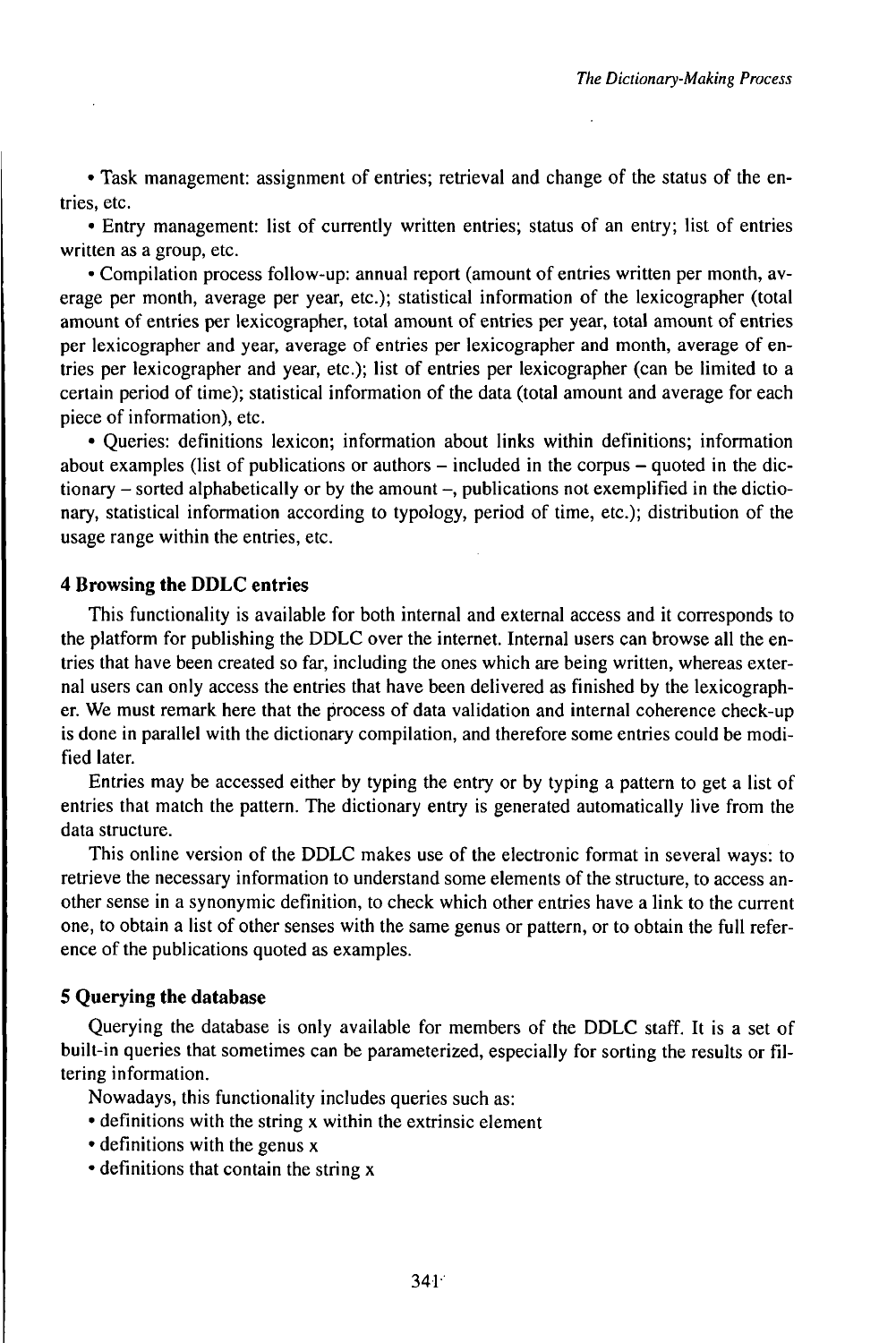• Task management: assignment of entries; retrieval and change of the status of the entries, etc.

• Entry management: list of currently written entries; status of an entry; list of entries written as a group, etc.

• Compilation process follow-up: annual report (amount of entries written per month, average per month, average per year, etc.); statistical information of the lexicographer (total amount of entries per lexicographer, total amount of entries per year, total amount of entries per lexicographer and year, average of entries per lexicographer and month, average of entries per lexicographer and year, etc.); list of entries per lexicographer (can be limited to a certain period of time); statistical information of the data (total amount and average for each piece of information), etc.

• Queries: definitions lexicon; information about links within definitions; information about examples (list of publications or authors  $-$  included in the corpus  $-$  quoted in the dictionary - sorted alphabetically or by the amount -, publications not exemplified in the dictionary, statistical information according to typology, period of time, etc.); distribution of the usage range within the entries, etc.

#### **4 Browsing the DDLC entries**

This functionality is available for both internal and external access and it corresponds to the platform for publishing the DDLC over the internet. Internal users can browse all the entries that have been created so far, including the ones which are being written, whereas external users can only access the entries that have been delivered as finished by the lexicographer. We must remark here that the process of data validation and internal coherence check-up is done in parallel with the dictionary compilation, and therefore some entries could be modified later.

Entries may be accessed either by typing the entry or by typing a pattern to get a list of entries that match the pattern. The dictionary entry is generated automatically live from the data structure.

This online version of the DDLC makes use of the electronic format in several ways: to retrieve the necessary information to understand some elements of the structure, to access another sense in a synonymic definition, to check which other entries have a link to the current one, to obtain a list of other senses with the same genus or pattern, or to obtain the full reference of the publications quoted as examples.

# **5 Querying the database**

Querying the database is only available for members of the DDLC staff. It is a set of built-in queries that sometimes can be parameterized, especially for sorting the results or filtering information.

Nowadays, this functionality includes queries such as:

- definitions with the string x within the extrinsic element
- definitions with the genus x
- definitions that contain the string x